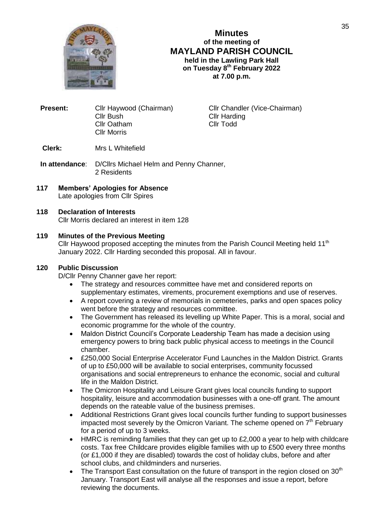

**Minutes of the meeting of MAYLAND PARISH COUNCIL held in the Lawling Park Hall on Tuesday 8 th February 2022 at 7.00 p.m.**

**Present:** Cllr Haywood (Chairman) Cllr Chandler (Vice-Chairman) Cllr Bush Cllr Harding<br>Cllr Oatham Cllr Todd Cllr Oatham Cllr Morris

**Clerk:** Mrs L Whitefield

**In attendance**: D/Cllrs Michael Helm and Penny Channer, 2 Residents

# **117 Members' Apologies for Absence**

Late apologies from Cllr Spires

#### **118 Declaration of Interests**

Cllr Morris declared an interest in item 128

#### **119 Minutes of the Previous Meeting**

Cllr Haywood proposed accepting the minutes from the Parish Council Meeting held 11<sup>th</sup> January 2022. Cllr Harding seconded this proposal. All in favour.

#### **120 Public Discussion**

D/Cllr Penny Channer gave her report:

- The strategy and resources committee have met and considered reports on supplementary estimates, virements, procurement exemptions and use of reserves.
- A report covering a review of memorials in cemeteries, parks and open spaces policy went before the strategy and resources committee.
- The Government has released its levelling up White Paper. This is a moral, social and economic programme for the whole of the country.
- Maldon District Council's Corporate Leadership Team has made a decision using emergency powers to bring back public physical access to meetings in the Council chamber.
- £250,000 Social Enterprise Accelerator Fund Launches in the Maldon District. Grants of up to £50,000 will be available to social enterprises, community focussed organisations and social entrepreneurs to enhance the economic, social and cultural life in the Maldon District.
- The Omicron Hospitality and Leisure Grant gives local councils funding to support hospitality, leisure and accommodation businesses with a one-off grant. The amount depends on the rateable value of the business premises.
- Additional Restrictions Grant gives local councils further funding to support businesses impacted most severely by the Omicron Variant. The scheme opened on  $7<sup>th</sup>$  February for a period of up to 3 weeks.
- HMRC is reminding families that they can get up to £2,000 a year to help with childcare costs. Tax free Childcare provides eligible families with up to £500 every three months (or £1,000 if they are disabled) towards the cost of holiday clubs, before and after school clubs, and childminders and nurseries.
- The Transport East consultation on the future of transport in the region closed on  $30<sup>th</sup>$ January. Transport East will analyse all the responses and issue a report, before reviewing the documents.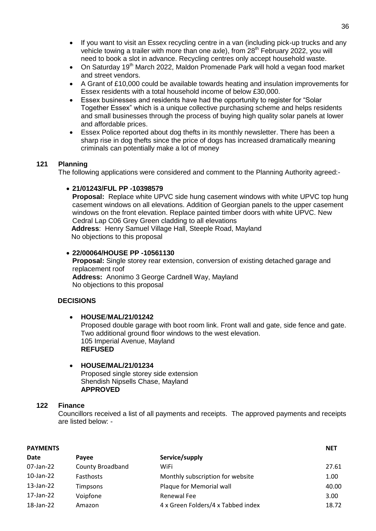- If you want to visit an Essex recycling centre in a van (including pick-up trucks and any vehicle towing a trailer with more than one axle), from 28<sup>th</sup> February 2022, you will need to book a slot in advance. Recycling centres only accept household waste.
- $\bullet$  On Saturday 19<sup>th</sup> March 2022, Maldon Promenade Park will hold a vegan food market and street vendors.
- A Grant of £10,000 could be available towards heating and insulation improvements for Essex residents with a total household income of below £30,000.
- Essex businesses and residents have had the opportunity to register for "Solar Together Essex" which is a unique collective purchasing scheme and helps residents and small businesses through the process of buying high quality solar panels at lower and affordable prices.
- Essex Police reported about dog thefts in its monthly newsletter. There has been a sharp rise in dog thefts since the price of dogs has increased dramatically meaning criminals can potentially make a lot of money

# **121 Planning**

The following applications were considered and comment to the Planning Authority agreed:-

### **21/01243/FUL PP -10398579**

**Proposal:** Replace white UPVC side hung casement windows with white UPVC top hung casement windows on all elevations. Addition of Georgian panels to the upper casement windows on the front elevation. Replace painted timber doors with white UPVC. New Cedral Lap C06 Grey Green cladding to all elevations **Address**: Henry Samuel Village Hall, Steeple Road, Mayland No objections to this proposal

### **22/00064/HOUSE PP -10561130**

**Proposal:** Single storey rear extension, conversion of existing detached garage and replacement roof **Address:** Anonimo 3 George Cardnell Way, Mayland No objections to this proposal

### **DECISIONS**

### **HOUSE**/**MAL/21/01242**

Proposed double garage with boot room link. Front wall and gate, side fence and gate. Two additional ground floor windows to the west elevation. 105 Imperial Avenue, Mayland **REFUSED**

#### **HOUSE/MAL/21/01234** Proposed single storey side extension Shendish Nipsells Chase, Mayland **APPROVED**

### **122 Finance**

Councillors received a list of all payments and receipts. The approved payments and receipts are listed below: -

| <b>PAYMENTS</b> | <b>NET</b>              |                                    |       |
|-----------------|-------------------------|------------------------------------|-------|
| Date            | Pavee                   | Service/supply                     |       |
| 07-Jan-22       | <b>County Broadband</b> | WiFi                               | 27.61 |
| 10-Jan-22       | Fasthosts               | Monthly subscription for website   | 1.00  |
| 13-Jan-22       | <b>Timpsons</b>         | Plaque for Memorial wall           | 40.00 |
| 17-Jan-22       | Voipfone                | Renewal Fee                        | 3.00  |
| 18-Jan-22       | Amazon                  | 4 x Green Folders/4 x Tabbed index | 18.72 |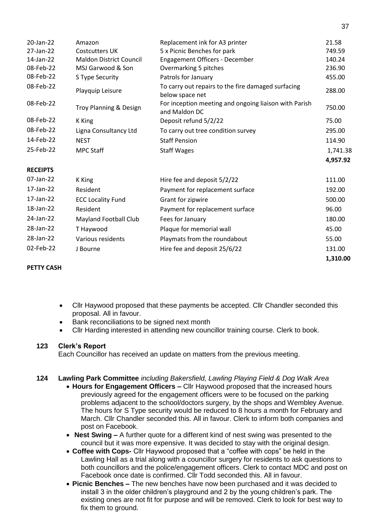| 20-Jan-22       | Amazon                         | Replacement ink for A3 printer                                         | 21.58    |
|-----------------|--------------------------------|------------------------------------------------------------------------|----------|
| 27-Jan-22       | <b>Costcutters UK</b>          | 5 x Picnic Benches for park                                            | 749.59   |
| 14-Jan-22       | <b>Maldon District Council</b> | <b>Engagement Officers - December</b>                                  | 140.24   |
| 08-Feb-22       | MSJ Garwood & Son              | Overmarking 5 pitches                                                  | 236.90   |
| 08-Feb-22       | S Type Security                | Patrols for January                                                    | 455.00   |
| 08-Feb-22       | Playquip Leisure               | To carry out repairs to the fire damaged surfacing<br>below space net  | 288.00   |
| 08-Feb-22       | Troy Planning & Design         | For inception meeting and ongoing liaison with Parish<br>and Maldon DC | 750.00   |
| 08-Feb-22       | K King                         | Deposit refund 5/2/22                                                  | 75.00    |
| 08-Feb-22       | Ligna Consultancy Ltd          | To carry out tree condition survey                                     | 295.00   |
| 14-Feb-22       | <b>NEST</b>                    | <b>Staff Pension</b>                                                   | 114.90   |
| 25-Feb-22       | <b>MPC Staff</b>               | <b>Staff Wages</b>                                                     | 1,741.38 |
|                 |                                |                                                                        | 4,957.92 |
| <b>RECEIPTS</b> |                                |                                                                        |          |
| 07-Jan-22       | K King                         | Hire fee and deposit 5/2/22                                            | 111.00   |
| 17-Jan-22       | Resident                       | Payment for replacement surface                                        | 192.00   |
| 17-Jan-22       | <b>ECC Locality Fund</b>       | Grant for zipwire                                                      | 500.00   |
| 18-Jan-22       | <b>Resident</b>                | Payment for replacement surface                                        | 96.00    |
| 24-Jan-22       | Mayland Football Club          | Fees for January                                                       | 180.00   |
| 28-Jan-22       | T Haywood                      | Plaque for memorial wall                                               | 45.00    |
| 28-Jan-22       | Various residents              | Playmats from the roundabout                                           | 55.00    |
| 02-Feb-22       | J Bourne                       | Hire fee and deposit 25/6/22                                           | 131.00   |
|                 |                                |                                                                        | 1,310.00 |

## **PETTY CASH**

- Cllr Haywood proposed that these payments be accepted. Cllr Chandler seconded this proposal. All in favour.
- Bank reconciliations to be signed next month
- Cllr Harding interested in attending new councillor training course. Clerk to book.

### **123 Clerk's Report**

Each Councillor has received an update on matters from the previous meeting.

### **124 Lawling Park Committee** *including Bakersfield, Lawling Playing Field & Dog Walk Area*

- **Hours for Engagement Officers –** Cllr Haywood proposed that the increased hours previously agreed for the engagement officers were to be focused on the parking problems adjacent to the school/doctors surgery, by the shops and Wembley Avenue. The hours for S Type security would be reduced to 8 hours a month for February and March. Cllr Chandler seconded this. All in favour. Clerk to inform both companies and post on Facebook.
- **Nest Swing –** A further quote for a different kind of nest swing was presented to the council but it was more expensive. It was decided to stay with the original design.
- **Coffee with Cops-** Cllr Haywood proposed that a "coffee with cops" be held in the Lawling Hall as a trial along with a councillor surgery for residents to ask questions to both councillors and the police/engagement officers. Clerk to contact MDC and post on Facebook once date is confirmed. Cllr Todd seconded this. All in favour.
- **Picnic Benches –** The new benches have now been purchased and it was decided to install 3 in the older children's playground and 2 by the young children's park. The existing ones are not fit for purpose and will be removed. Clerk to look for best way to fix them to ground.